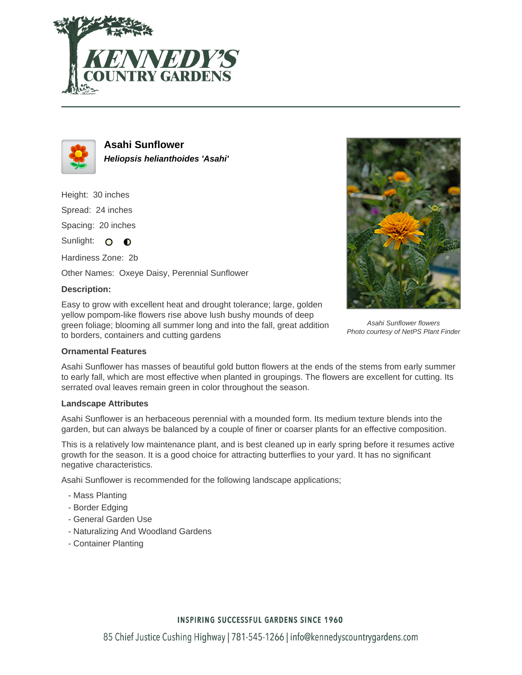



**Asahi Sunflower Heliopsis helianthoides 'Asahi'**

Height: 30 inches Spread: 24 inches Spacing: 20 inches

Sunlight: O **O** 

Hardiness Zone: 2b

Other Names: Oxeye Daisy, Perennial Sunflower

### **Description:**

Easy to grow with excellent heat and drought tolerance; large, golden yellow pompom-like flowers rise above lush bushy mounds of deep green foliage; blooming all summer long and into the fall, great addition to borders, containers and cutting gardens



Asahi Sunflower flowers Photo courtesy of NetPS Plant Finder

#### **Ornamental Features**

Asahi Sunflower has masses of beautiful gold button flowers at the ends of the stems from early summer to early fall, which are most effective when planted in groupings. The flowers are excellent for cutting. Its serrated oval leaves remain green in color throughout the season.

#### **Landscape Attributes**

Asahi Sunflower is an herbaceous perennial with a mounded form. Its medium texture blends into the garden, but can always be balanced by a couple of finer or coarser plants for an effective composition.

This is a relatively low maintenance plant, and is best cleaned up in early spring before it resumes active growth for the season. It is a good choice for attracting butterflies to your yard. It has no significant negative characteristics.

Asahi Sunflower is recommended for the following landscape applications;

- Mass Planting
- Border Edging
- General Garden Use
- Naturalizing And Woodland Gardens
- Container Planting

## **INSPIRING SUCCESSFUL GARDENS SINCE 1960**